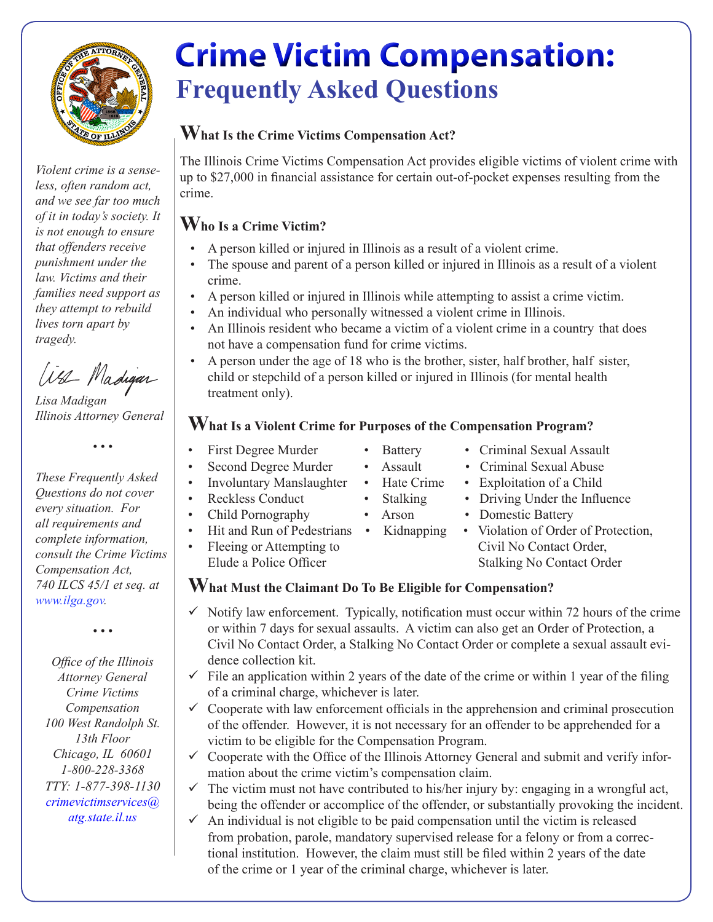

*Violent crime is a senseless, often random act, and we see far too much of it in today's society. It is not enough to ensure that offenders receive punishment under the law. Victims and their families need support as they attempt to rebuild lives torn apart by tragedy.*

Wa Madigar

*Lisa Madigan Illinois Attorney General* 

*• • •*

*These Frequently Asked Questions do not cover every situation. For all requirements and complete information, consult the Crime Victims Compensation Act, 740 ILCS 45/1 et seq. at www.ilga.gov.*

*• • •*

*Office of the Illinois Attorney General Crime Victims Compensation 100 West Randolph St. 13th Floor Chicago, IL 60601 1-800-228-3368 TTY: 1-877-398-1130 crimevictimservices@ atg.state.il.us*

# **Crime Victim Compensation: Frequently Asked Questions**

#### **What Is the Crime Victims Compensation Act?**

The Illinois Crime Victims Compensation Act provides eligible victims of violent crime with up to \$27,000 in financial assistance for certain out-of-pocket expenses resulting from the crime.

## **Who Is a Crime Victim?**

- A person killed or injured in Illinois as a result of a violent crime.
- The spouse and parent of a person killed or injured in Illinois as a result of a violent crime.
- A person killed or injured in Illinois while attempting to assist a crime victim.
- An individual who personally witnessed a violent crime in Illinois.
- An Illinois resident who became a victim of a violent crime in a country that does not have a compensation fund for crime victims.
- A person under the age of 18 who is the brother, sister, half brother, half sister, child or stepchild of a person killed or injured in Illinois (for mental health treatment only).

## **What Is a Violent Crime for Purposes of the Compensation Program?**

- 
- 
- 
- 
- 
- Hit and Run of Pedestrians Kidnapping
- 
- First Degree Murder Battery Criminal Sexual Assault
	- Second Degree Murder Assault Criminal Sexual Abuse
		-
		- Stalking Driving Under the Influence
			-
	- Fleeing or Attempting to Civil No Contact Order, Elude a Police Officer Stalking No Contact Order

#### **What Must the Claimant Do To Be Eligible for Compensation?**

- $\checkmark$  Notify law enforcement. Typically, notification must occur within 72 hours of the crime or within 7 days for sexual assaults. A victim can also get an Order of Protection, a Civil No Contact Order, a Stalking No Contact Order or complete a sexual assault evidence collection kit.
- $\checkmark$  File an application within 2 years of the date of the crime or within 1 year of the filing of a criminal charge, whichever is later.
- $\checkmark$  Cooperate with law enforcement officials in the apprehension and criminal prosecution of the offender. However, it is not necessary for an offender to be apprehended for a victim to be eligible for the Compensation Program.
- $\checkmark$  Cooperate with the Office of the Illinois Attorney General and submit and verify information about the crime victim's compensation claim.
- $\checkmark$  The victim must not have contributed to his/her injury by: engaging in a wrongful act, being the offender or accomplice of the offender, or substantially provoking the incident.
- $\checkmark$  An individual is not eligible to be paid compensation until the victim is released from probation, parole, mandatory supervised release for a felony or from a correctional institution. However, the claim must still be filed within 2 years of the date of the crime or 1 year of the criminal charge, whichever is later.

Involuntary Manslaughter • Hate Crime • Exploitation of a Child<br>Reckless Conduct • Stalking • Driving Under the Influ

- 
- 
- 
- -
	-